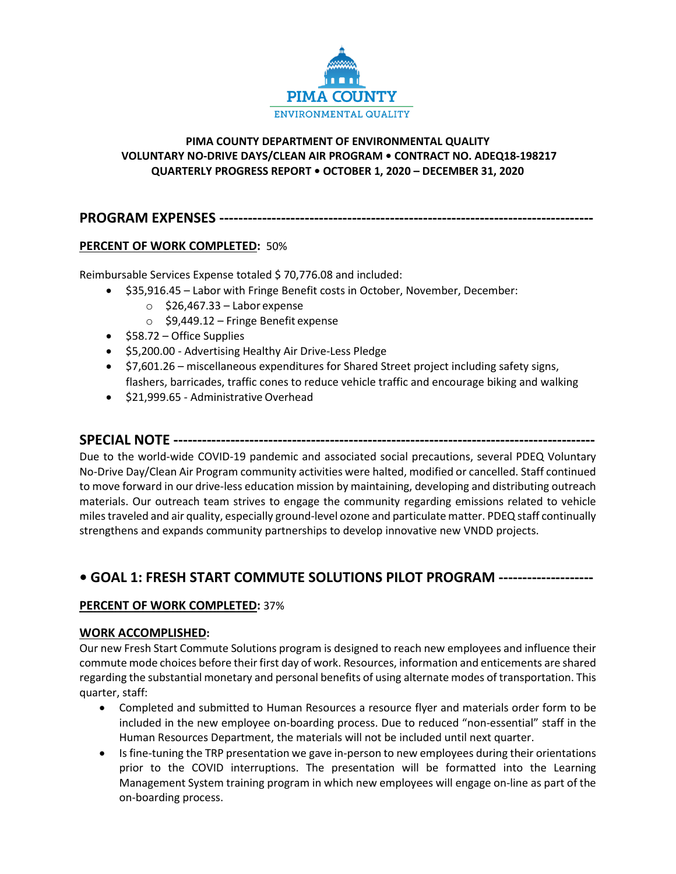

## **PIMA COUNTY DEPARTMENT OF ENVIRONMENTAL QUALITY VOLUNTARY NO-DRIVE DAYS/CLEAN AIR PROGRAM • CONTRACT NO. ADEQ18-198217 QUARTERLY PROGRESS REPORT • OCTOBER 1, 2020 – DECEMBER 31, 2020**

**PROGRAM EXPENSES -------------------------------------------------------------------------------**

## **PERCENT OF WORK COMPLETED:** 50%

Reimbursable Services Expense totaled \$ 70,776.08 and included:

- \$35,916.45 Labor with Fringe Benefit costs in October, November, December:
	- $\circ$  \$26,467.33 Labor expense
	- o \$9,449.12 Fringe Benefit expense
- \$58.72 Office Supplies
- \$5,200.00 Advertising Healthy Air Drive-Less Pledge
- \$7,601.26 miscellaneous expenditures for Shared Street project including safety signs, flashers, barricades, traffic cones to reduce vehicle traffic and encourage biking and walking
- \$21,999.65 Administrative Overhead

## **SPECIAL NOTE -----------------------------------------------------------------------------------------**

Due to the world-wide COVID-19 pandemic and associated social precautions, several PDEQ Voluntary No-Drive Day/Clean Air Program community activities were halted, modified or cancelled. Staff continued to move forward in our drive-less education mission by maintaining, developing and distributing outreach materials. Our outreach team strives to engage the community regarding emissions related to vehicle miles traveled and air quality, especially ground-level ozone and particulate matter. PDEQ staff continually strengthens and expands community partnerships to develop innovative new VNDD projects.

# **• GOAL 1: FRESH START COMMUTE SOLUTIONS PILOT PROGRAM --------------------**

## **PERCENT OF WORK COMPLETED:** 37%

### **WORK ACCOMPLISHED:**

Our new Fresh Start Commute Solutions program is designed to reach new employees and influence their commute mode choices before their first day of work. Resources, information and enticements are shared regarding the substantial monetary and personal benefits of using alternate modes of transportation. This quarter, staff:

- Completed and submitted to Human Resources a resource flyer and materials order form to be included in the new employee on-boarding process. Due to reduced "non-essential" staff in the Human Resources Department, the materials will not be included until next quarter.
- Is fine-tuning the TRP presentation we gave in-person to new employees during their orientations prior to the COVID interruptions. The presentation will be formatted into the Learning Management System training program in which new employees will engage on-line as part of the on-boarding process.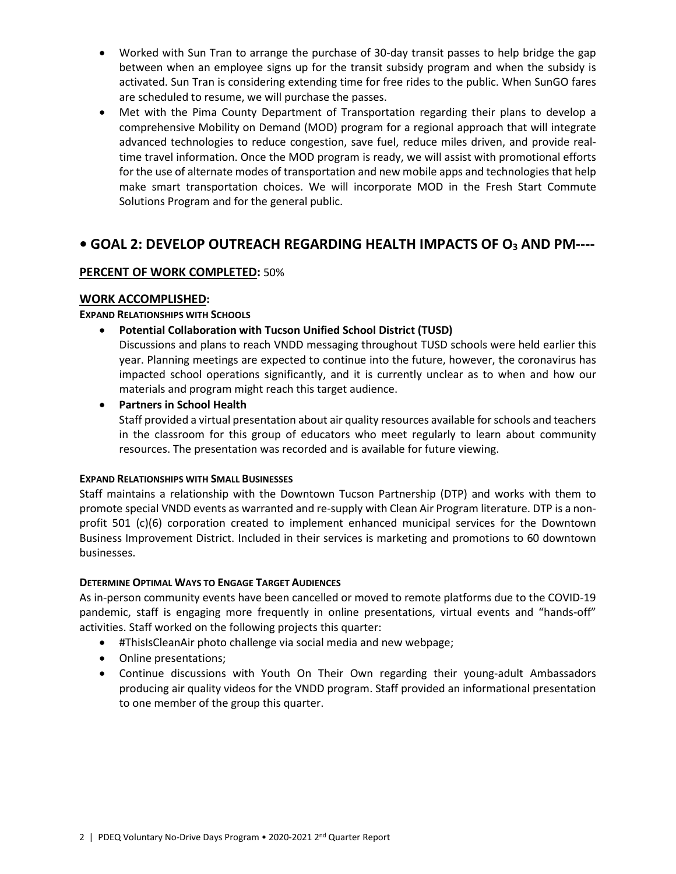- Worked with Sun Tran to arrange the purchase of 30-day transit passes to help bridge the gap between when an employee signs up for the transit subsidy program and when the subsidy is activated. Sun Tran is considering extending time for free rides to the public. When SunGO fares are scheduled to resume, we will purchase the passes.
- Met with the Pima County Department of Transportation regarding their plans to develop a comprehensive Mobility on Demand (MOD) program for a regional approach that will integrate advanced technologies to reduce congestion, save fuel, reduce miles driven, and provide realtime travel information. Once the MOD program is ready, we will assist with promotional efforts for the use of alternate modes of transportation and new mobile apps and technologies that help make smart transportation choices. We will incorporate MOD in the Fresh Start Commute Solutions Program and for the general public.

# **• GOAL 2: DEVELOP OUTREACH REGARDING HEALTH IMPACTS OF O3 AND PM----**

## **PERCENT OF WORK COMPLETED:** 50%

### **WORK ACCOMPLISHED:**

### **EXPAND RELATIONSHIPS WITH SCHOOLS**

• **Potential Collaboration with Tucson Unified School District (TUSD)**

Discussions and plans to reach VNDD messaging throughout TUSD schools were held earlier this year. Planning meetings are expected to continue into the future, however, the coronavirus has impacted school operations significantly, and it is currently unclear as to when and how our materials and program might reach this target audience.

• **Partners in School Health**

Staff provided a virtual presentation about air quality resources available for schools and teachers in the classroom for this group of educators who meet regularly to learn about community resources. The presentation was recorded and is available for future viewing.

### **EXPAND RELATIONSHIPS WITH SMALL BUSINESSES**

Staff maintains a relationship with the Downtown Tucson Partnership (DTP) and works with them to promote special VNDD events as warranted and re-supply with Clean Air Program literature. DTP is a nonprofit 501 (c)(6) corporation created to implement enhanced municipal services for the Downtown Business Improvement District. Included in their services is marketing and promotions to 60 downtown businesses.

### **DETERMINE OPTIMAL WAYS TO ENGAGE TARGET AUDIENCES**

As in-person community events have been cancelled or moved to remote platforms due to the COVID-19 pandemic, staff is engaging more frequently in online presentations, virtual events and "hands-off" activities. Staff worked on the following projects this quarter:

- #ThisIsCleanAir photo challenge via social media and new webpage;
- Online presentations;
- Continue discussions with Youth On Their Own regarding their young-adult Ambassadors producing air quality videos for the VNDD program. Staff provided an informational presentation to one member of the group this quarter.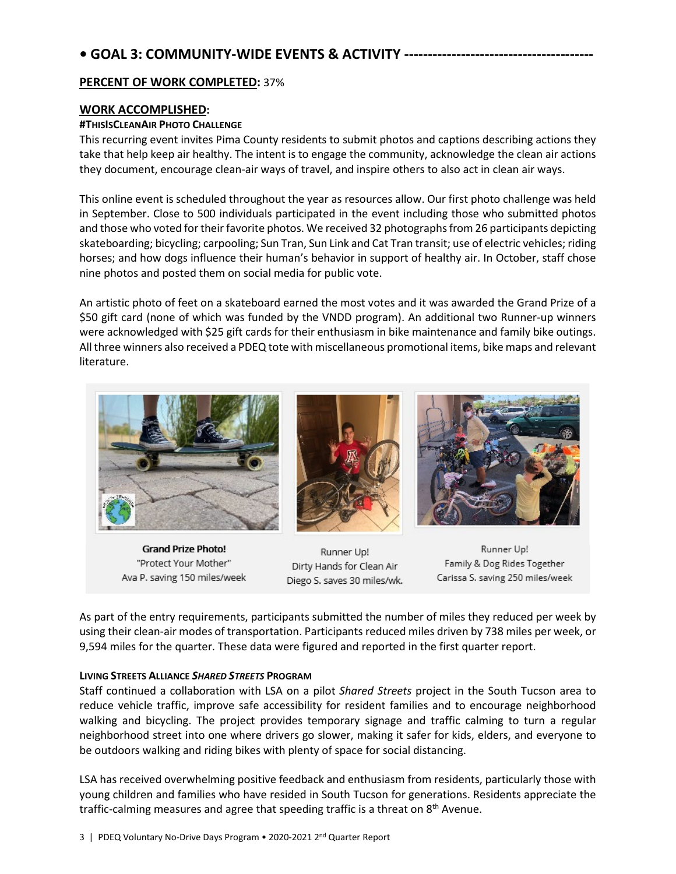# **• GOAL 3: COMMUNITY-WIDE EVENTS & ACTIVITY ----------------------------------------**

### **PERCENT OF WORK COMPLETED:** 37%

## **WORK ACCOMPLISHED:**

### **#THISISCLEANAIR PHOTO CHALLENGE**

This recurring event invites Pima County residents to submit photos and captions describing actions they take that help keep air healthy. The intent is to engage the community, acknowledge the clean air actions they document, encourage clean-air ways of travel, and inspire others to also act in clean air ways.

This online event is scheduled throughout the year as resources allow. Our first photo challenge was held in September. Close to 500 individuals participated in the event including those who submitted photos and those who voted for their favorite photos. We received 32 photographs from 26 participants depicting skateboarding; bicycling; carpooling; Sun Tran, Sun Link and Cat Tran transit; use of electric vehicles; riding horses; and how dogs influence their human's behavior in support of healthy air. In October, staff chose nine photos and posted them on social media for public vote.

An artistic photo of feet on a skateboard earned the most votes and it was awarded the Grand Prize of a \$50 gift card (none of which was funded by the VNDD program). An additional two Runner-up winners were acknowledged with \$25 gift cards for their enthusiasm in bike maintenance and family bike outings. All three winners also received a PDEQ tote with miscellaneous promotional items, bike maps and relevant literature.



**Grand Prize Photo!** "Protect Your Mother" Ava P. saving 150 miles/week

Runner Up! Dirty Hands for Clean Air Diego S. saves 30 miles/wk.

Runner Up! Family & Dog Rides Together Carissa S. saving 250 miles/week

As part of the entry requirements, participants submitted the number of miles they reduced per week by using their clean-air modes of transportation. Participants reduced miles driven by 738 miles per week, or 9,594 miles for the quarter. These data were figured and reported in the first quarter report.

### **LIVING STREETS ALLIANCE** *SHARED STREETS* **PROGRAM**

Staff continued a collaboration with LSA on a pilot *Shared Streets* project in the South Tucson area to reduce vehicle traffic, improve safe accessibility for resident families and to encourage neighborhood walking and bicycling. The project provides temporary signage and traffic calming to turn a regular neighborhood street into one where drivers go slower, making it safer for kids, elders, and everyone to be outdoors walking and riding bikes with plenty of space for social distancing.

LSA has received overwhelming positive feedback and enthusiasm from residents, particularly those with young children and families who have resided in South Tucson for generations. Residents appreciate the traffic-calming measures and agree that speeding traffic is a threat on 8<sup>th</sup> Avenue.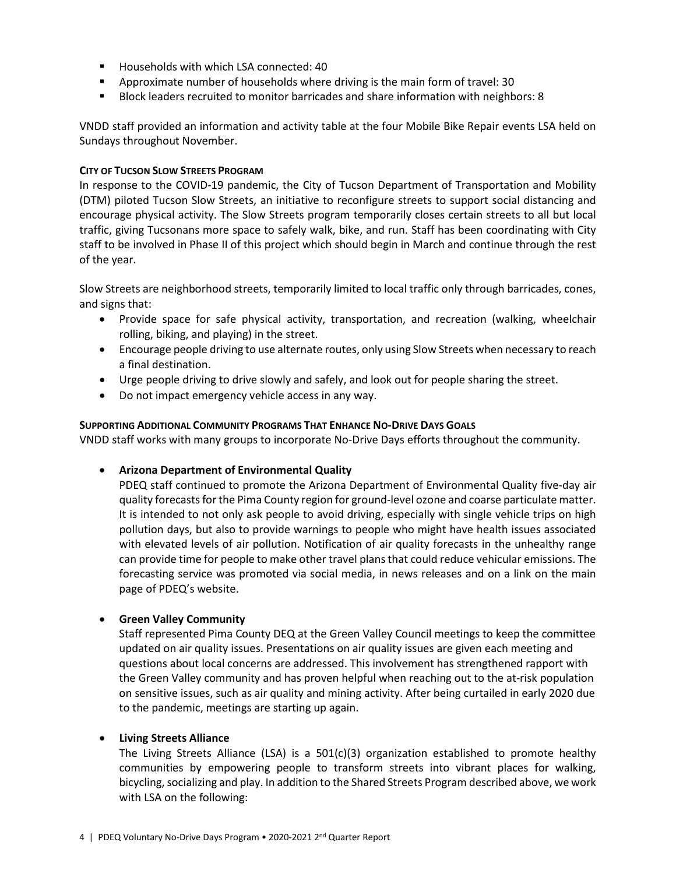- Households with which LSA connected: 40
- Approximate number of households where driving is the main form of travel: 30
- Block leaders recruited to monitor barricades and share information with neighbors: 8

VNDD staff provided an information and activity table at the four Mobile Bike Repair events LSA held on Sundays throughout November.

#### **CITY OF TUCSON SLOW STREETS PROGRAM**

In response to the COVID-19 pandemic, the City of Tucson Department of Transportation and Mobility (DTM) piloted Tucson Slow Streets, an initiative to reconfigure streets to support social distancing and encourage physical activity. The Slow Streets program temporarily closes certain streets to all but local traffic, giving Tucsonans more space to safely walk, bike, and run. Staff has been coordinating with City staff to be involved in Phase II of this project which should begin in March and continue through the rest of the year.

Slow Streets are neighborhood streets, temporarily limited to local traffic only through barricades, cones, and signs that:

- Provide space for safe physical activity, transportation, and recreation (walking, wheelchair rolling, biking, and playing) in the street.
- Encourage people driving to use alternate routes, only using Slow Streets when necessary to reach a final destination.
- Urge people driving to drive slowly and safely, and look out for people sharing the street.
- Do not impact emergency vehicle access in any way.

### **SUPPORTING ADDITIONAL COMMUNITY PROGRAMS THAT ENHANCE NO-DRIVE DAYS GOALS**

VNDD staff works with many groups to incorporate No-Drive Days efforts throughout the community.

### • **Arizona Department of Environmental Quality**

PDEQ staff continued to promote the Arizona Department of Environmental Quality five-day air quality forecastsfor the Pima County region for ground-level ozone and coarse particulate matter. It is intended to not only ask people to avoid driving, especially with single vehicle trips on high pollution days, but also to provide warnings to people who might have health issues associated with elevated levels of air pollution. Notification of air quality forecasts in the unhealthy range can provide time for people to make other travel plansthat could reduce vehicular emissions. The forecasting service was promoted via social media, in news releases and on a link on the main page of PDEQ's website.

#### • **Green Valley Community**

Staff represented Pima County DEQ at the Green Valley Council meetings to keep the committee updated on air quality issues. Presentations on air quality issues are given each meeting and questions about local concerns are addressed. This involvement has strengthened rapport with the Green Valley community and has proven helpful when reaching out to the at-risk population on sensitive issues, such as air quality and mining activity. After being curtailed in early 2020 due to the pandemic, meetings are starting up again.

#### • **Living Streets Alliance**

The Living Streets Alliance (LSA) is a  $501(c)(3)$  organization established to promote healthy communities by empowering people to transform streets into vibrant places for walking, bicycling, socializing and play. In addition to the Shared Streets Program described above, we work with LSA on the following: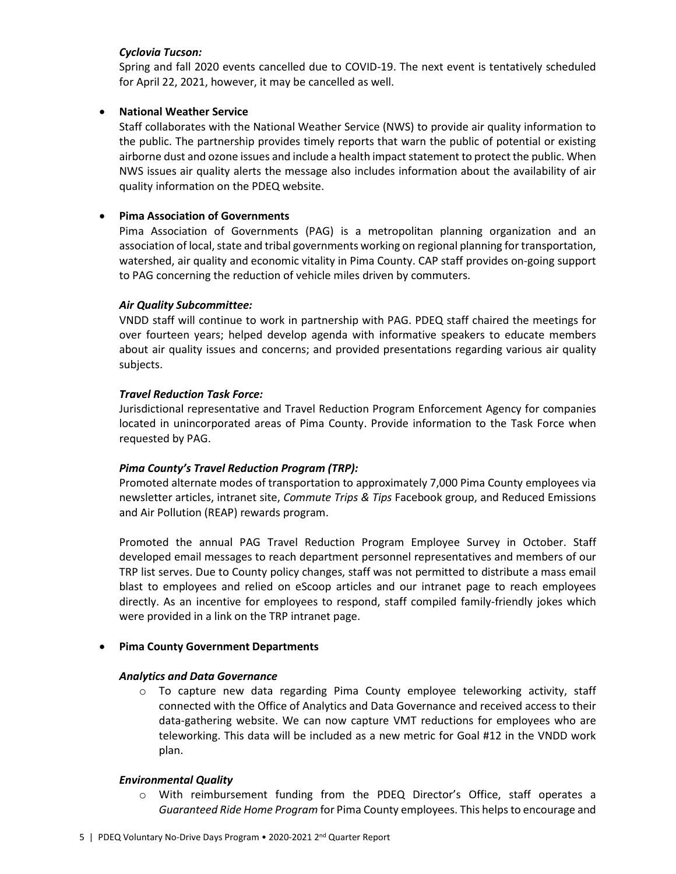### *Cyclovia Tucson:*

Spring and fall 2020 events cancelled due to COVID-19. The next event is tentatively scheduled for April 22, 2021, however, it may be cancelled as well.

### • **National Weather Service**

Staff collaborates with the National Weather Service (NWS) to provide air quality information to the public. The partnership provides timely reports that warn the public of potential or existing airborne dust and ozone issues and include a health impact statement to protect the public. When NWS issues air quality alerts the message also includes information about the availability of air quality information on the PDEQ website.

### • **Pima Association of Governments**

Pima Association of Governments (PAG) is a metropolitan planning organization and an association of local, state and tribal governments working on regional planning for transportation, watershed, air quality and economic vitality in Pima County. CAP staff provides on-going support to PAG concerning the reduction of vehicle miles driven by commuters.

## *Air Quality Subcommittee:*

VNDD staff will continue to work in partnership with PAG. PDEQ staff chaired the meetings for over fourteen years; helped develop agenda with informative speakers to educate members about air quality issues and concerns; and provided presentations regarding various air quality subjects.

## *Travel Reduction Task Force:*

Jurisdictional representative and Travel Reduction Program Enforcement Agency for companies located in unincorporated areas of Pima County. Provide information to the Task Force when requested by PAG.

### *Pima County's Travel Reduction Program (TRP):*

Promoted alternate modes of transportation to approximately 7,000 Pima County employees via newsletter articles, intranet site, *Commute Trips & Tips* Facebook group, and Reduced Emissions and Air Pollution (REAP) rewards program.

Promoted the annual PAG Travel Reduction Program Employee Survey in October. Staff developed email messages to reach department personnel representatives and members of our TRP list serves. Due to County policy changes, staff was not permitted to distribute a mass email blast to employees and relied on eScoop articles and our intranet page to reach employees directly. As an incentive for employees to respond, staff compiled family-friendly jokes which were provided in a link on the TRP intranet page.

### • **Pima County Government Departments**

### *Analytics and Data Governance*

o To capture new data regarding Pima County employee teleworking activity, staff connected with the Office of Analytics and Data Governance and received access to their data-gathering website. We can now capture VMT reductions for employees who are teleworking. This data will be included as a new metric for Goal #12 in the VNDD work plan.

### *Environmental Quality*

o With reimbursement funding from the PDEQ Director's Office, staff operates a *Guaranteed Ride Home Program* for Pima County employees. This helps to encourage and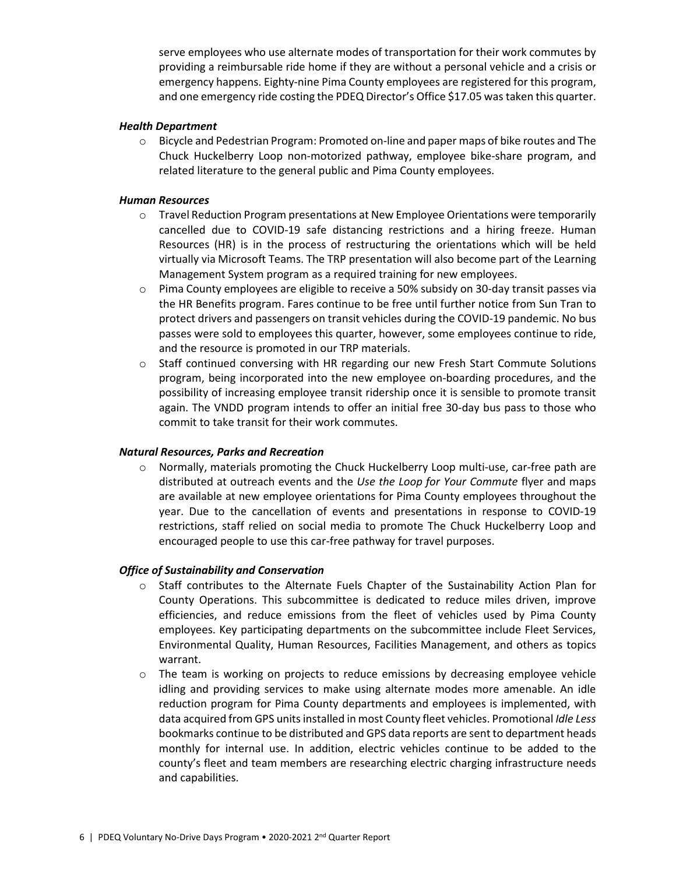serve employees who use alternate modes of transportation for their work commutes by providing a reimbursable ride home if they are without a personal vehicle and a crisis or emergency happens. Eighty-nine Pima County employees are registered for this program, and one emergency ride costing the PDEQ Director's Office \$17.05 was taken this quarter.

#### *Health Department*

 $\circ$  Bicycle and Pedestrian Program: Promoted on-line and paper maps of bike routes and The Chuck Huckelberry Loop non-motorized pathway, employee bike-share program, and related literature to the general public and Pima County employees.

### *Human Resources*

- o Travel Reduction Program presentations at New Employee Orientations were temporarily cancelled due to COVID-19 safe distancing restrictions and a hiring freeze. Human Resources (HR) is in the process of restructuring the orientations which will be held virtually via Microsoft Teams. The TRP presentation will also become part of the Learning Management System program as a required training for new employees.
- $\circ$  Pima County employees are eligible to receive a 50% subsidy on 30-day transit passes via the HR Benefits program. Fares continue to be free until further notice from Sun Tran to protect drivers and passengers on transit vehicles during the COVID-19 pandemic. No bus passes were sold to employees this quarter, however, some employees continue to ride, and the resource is promoted in our TRP materials.
- o Staff continued conversing with HR regarding our new Fresh Start Commute Solutions program, being incorporated into the new employee on-boarding procedures, and the possibility of increasing employee transit ridership once it is sensible to promote transit again. The VNDD program intends to offer an initial free 30-day bus pass to those who commit to take transit for their work commutes.

### *Natural Resources, Parks and Recreation*

o Normally, materials promoting the Chuck Huckelberry Loop multi-use, car-free path are distributed at outreach events and the *Use the Loop for Your Commute* flyer and maps are available at new employee orientations for Pima County employees throughout the year. Due to the cancellation of events and presentations in response to COVID-19 restrictions, staff relied on social media to promote The Chuck Huckelberry Loop and encouraged people to use this car-free pathway for travel purposes.

### *Office of Sustainability and Conservation*

- $\circ$  Staff contributes to the Alternate Fuels Chapter of the Sustainability Action Plan for County Operations. This subcommittee is dedicated to reduce miles driven, improve efficiencies, and reduce emissions from the fleet of vehicles used by Pima County employees. Key participating departments on the subcommittee include Fleet Services, Environmental Quality, Human Resources, Facilities Management, and others as topics warrant.
- o The team is working on projects to reduce emissions by decreasing employee vehicle idling and providing services to make using alternate modes more amenable. An idle reduction program for Pima County departments and employees is implemented, with data acquired from GPS units installed in most County fleet vehicles. Promotional *Idle Less*  bookmarks continue to be distributed and GPS data reports are sent to department heads monthly for internal use. In addition, electric vehicles continue to be added to the county's fleet and team members are researching electric charging infrastructure needs and capabilities.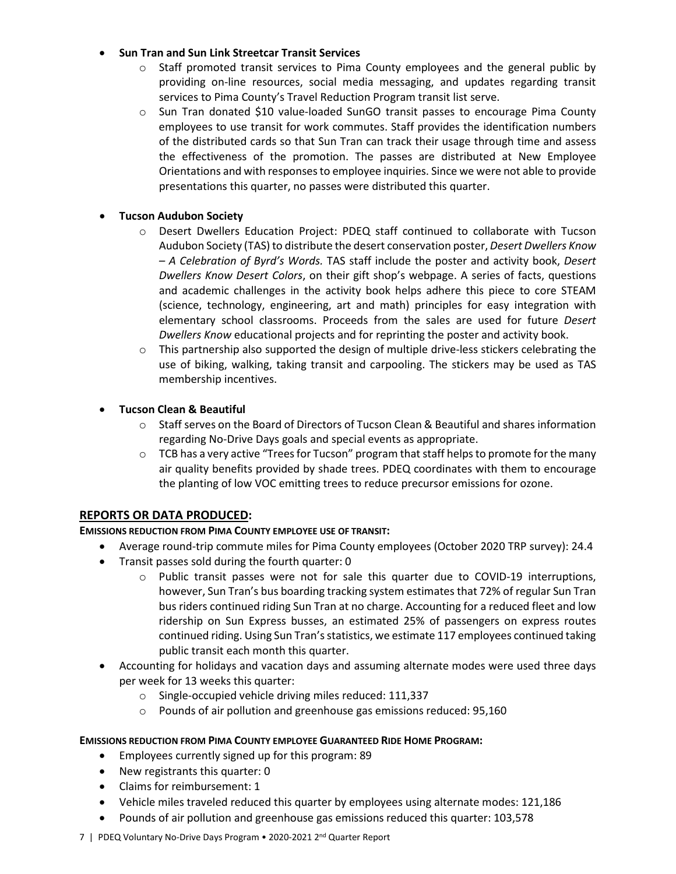## • **Sun Tran and Sun Link Streetcar Transit Services**

- $\circ$  Staff promoted transit services to Pima County employees and the general public by providing on-line resources, social media messaging, and updates regarding transit services to Pima County's Travel Reduction Program transit list serve.
- o Sun Tran donated \$10 value-loaded SunGO transit passes to encourage Pima County employees to use transit for work commutes. Staff provides the identification numbers of the distributed cards so that Sun Tran can track their usage through time and assess the effectiveness of the promotion. The passes are distributed at New Employee Orientations and with responses to employee inquiries. Since we were not able to provide presentations this quarter, no passes were distributed this quarter.

## • **Tucson Audubon Society**

- o Desert Dwellers Education Project: PDEQ staff continued to collaborate with Tucson Audubon Society (TAS) to distribute the desert conservation poster, *Desert Dwellers Know – A Celebration of Byrd's Words.* TAS staff include the poster and activity book, *Desert Dwellers Know Desert Colors*, on their gift shop's webpage. A series of facts, questions and academic challenges in the activity book helps adhere this piece to core STEAM (science, technology, engineering, art and math) principles for easy integration with elementary school classrooms. Proceeds from the sales are used for future *Desert Dwellers Know* educational projects and for reprinting the poster and activity book.
- $\circ$  This partnership also supported the design of multiple drive-less stickers celebrating the use of biking, walking, taking transit and carpooling. The stickers may be used as TAS membership incentives.

## • **Tucson Clean & Beautiful**

- $\circ$  Staff serves on the Board of Directors of Tucson Clean & Beautiful and shares information regarding No-Drive Days goals and special events as appropriate.
- $\circ$  TCB has a very active "Trees for Tucson" program that staff helps to promote for the many air quality benefits provided by shade trees. PDEQ coordinates with them to encourage the planting of low VOC emitting trees to reduce precursor emissions for ozone.

## **REPORTS OR DATA PRODUCED:**

### **EMISSIONS REDUCTION FROM PIMA COUNTY EMPLOYEE USE OF TRANSIT:**

- Average round-trip commute miles for Pima County employees (October 2020 TRP survey): 24.4
- Transit passes sold during the fourth quarter: 0
	- $\circ$  Public transit passes were not for sale this quarter due to COVID-19 interruptions, however, Sun Tran's bus boarding tracking system estimates that 72% of regular Sun Tran bus riders continued riding Sun Tran at no charge. Accounting for a reduced fleet and low ridership on Sun Express busses, an estimated 25% of passengers on express routes continued riding. Using Sun Tran's statistics, we estimate 117 employees continued taking public transit each month this quarter.
- Accounting for holidays and vacation days and assuming alternate modes were used three days per week for 13 weeks this quarter:
	- o Single-occupied vehicle driving miles reduced: 111,337
	- o Pounds of air pollution and greenhouse gas emissions reduced: 95,160

### **EMISSIONS REDUCTION FROM PIMA COUNTY EMPLOYEE GUARANTEED RIDE HOME PROGRAM:**

- Employees currently signed up for this program: 89
- New registrants this quarter: 0
- Claims for reimbursement: 1
- Vehicle miles traveled reduced this quarter by employees using alternate modes: 121,186
- Pounds of air pollution and greenhouse gas emissions reduced this quarter: 103,578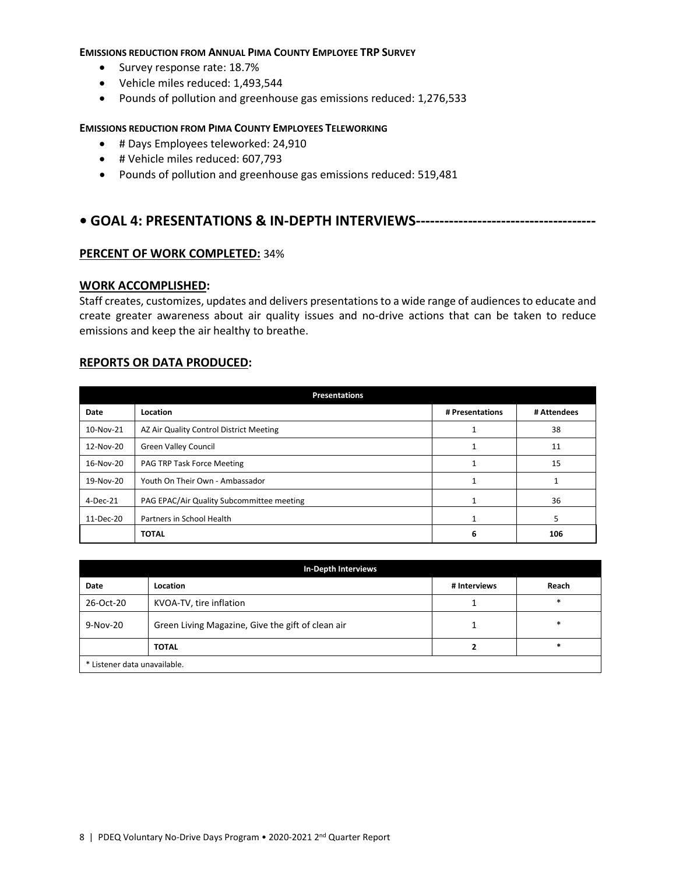#### **EMISSIONS REDUCTION FROM ANNUAL PIMA COUNTY EMPLOYEE TRP SURVEY**

- Survey response rate: 18.7%
- Vehicle miles reduced: 1,493,544
- Pounds of pollution and greenhouse gas emissions reduced: 1,276,533

#### **EMISSIONS REDUCTION FROM PIMA COUNTY EMPLOYEES TELEWORKING**

- # Days Employees teleworked: 24,910
- # Vehicle miles reduced: 607,793
- Pounds of pollution and greenhouse gas emissions reduced: 519,481

## **• GOAL 4: PRESENTATIONS & IN-DEPTH INTERVIEWS--------------------------------------**

### **PERCENT OF WORK COMPLETED:** 34%

### **WORK ACCOMPLISHED:**

Staff creates, customizes, updates and delivers presentations to a wide range of audiences to educate and create greater awareness about air quality issues and no-drive actions that can be taken to reduce emissions and keep the air healthy to breathe.

### **REPORTS OR DATA PRODUCED:**

| <b>Presentations</b> |                                           |                 |             |  |  |
|----------------------|-------------------------------------------|-----------------|-------------|--|--|
| Date                 | Location                                  | # Presentations | # Attendees |  |  |
| 10-Nov-21            | AZ Air Quality Control District Meeting   |                 | 38          |  |  |
| 12-Nov-20            | <b>Green Valley Council</b>               |                 | 11          |  |  |
| 16-Nov-20            | PAG TRP Task Force Meeting                |                 | 15          |  |  |
| 19-Nov-20            | Youth On Their Own - Ambassador           |                 |             |  |  |
| 4-Dec-21             | PAG EPAC/Air Quality Subcommittee meeting |                 | 36          |  |  |
| 11-Dec-20            | Partners in School Health                 |                 | 5           |  |  |
|                      | <b>TOTAL</b>                              | 6               | 106         |  |  |

| In-Depth Interviews          |                                                   |              |        |  |  |
|------------------------------|---------------------------------------------------|--------------|--------|--|--|
| Date                         | Location                                          | # Interviews | Reach  |  |  |
| 26-Oct-20                    | KVOA-TV, tire inflation                           |              | *      |  |  |
| 9-Nov-20                     | Green Living Magazine, Give the gift of clean air |              | $\ast$ |  |  |
|                              | <b>TOTAL</b>                                      | ∍            | $\ast$ |  |  |
| * Listener data unavailable. |                                                   |              |        |  |  |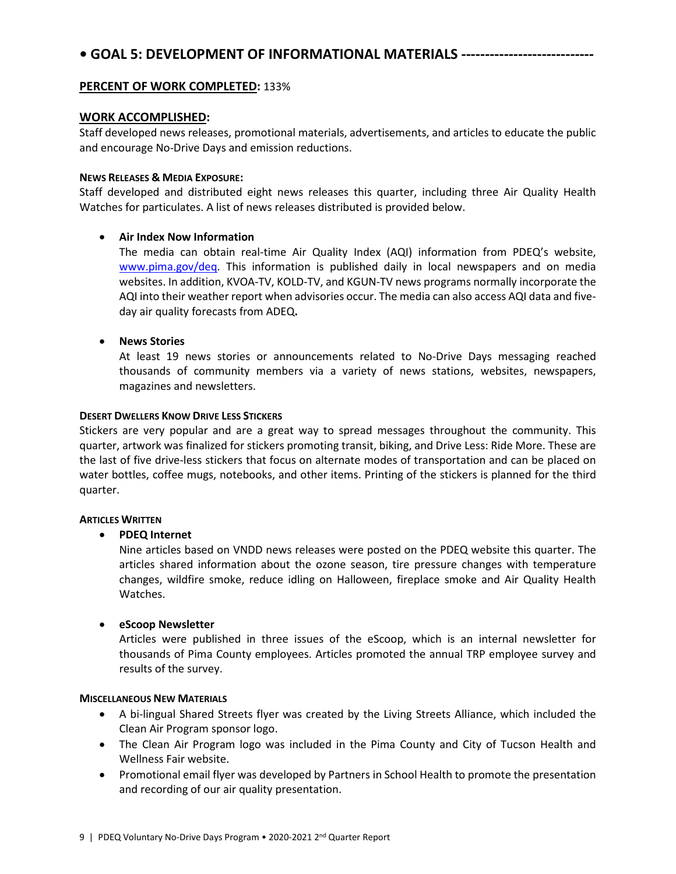# **• GOAL 5: DEVELOPMENT OF INFORMATIONAL MATERIALS ----------------------------**

### **PERCENT OF WORK COMPLETED:** 133%

### **WORK ACCOMPLISHED:**

Staff developed news releases, promotional materials, advertisements, and articles to educate the public and encourage No-Drive Days and emission reductions.

### **NEWS RELEASES & MEDIA EXPOSURE:**

Staff developed and distributed eight news releases this quarter, including three Air Quality Health Watches for particulates. A list of news releases distributed is provided below.

### • **Air Index Now Information**

The media can obtain real-time Air Quality Index (AQI) information from PDEQ's website, [www.pima.gov/deq.](http://www.pima.gov/deq) This information is published daily in local newspapers and on media websites. In addition, KVOA-TV, KOLD-TV, and KGUN-TV news programs normally incorporate the AQI into their weather report when advisories occur. The media can also access AQI data and fiveday air quality forecasts from ADEQ**.**

### • **News Stories**

At least 19 news stories or announcements related to No-Drive Days messaging reached thousands of community members via a variety of news stations, websites, newspapers, magazines and newsletters.

### **DESERT DWELLERS KNOW DRIVE LESS STICKERS**

Stickers are very popular and are a great way to spread messages throughout the community. This quarter, artwork was finalized for stickers promoting transit, biking, and Drive Less: Ride More. These are the last of five drive-less stickers that focus on alternate modes of transportation and can be placed on water bottles, coffee mugs, notebooks, and other items. Printing of the stickers is planned for the third quarter.

### **ARTICLES WRITTEN**

### • **PDEQ Internet**

Nine articles based on VNDD news releases were posted on the PDEQ website this quarter. The articles shared information about the ozone season, tire pressure changes with temperature changes, wildfire smoke, reduce idling on Halloween, fireplace smoke and Air Quality Health Watches.

### • **eScoop Newsletter**

Articles were published in three issues of the eScoop, which is an internal newsletter for thousands of Pima County employees. Articles promoted the annual TRP employee survey and results of the survey.

#### **MISCELLANEOUS NEW MATERIALS**

- A bi-lingual Shared Streets flyer was created by the Living Streets Alliance, which included the Clean Air Program sponsor logo.
- The Clean Air Program logo was included in the Pima County and City of Tucson Health and Wellness Fair website.
- Promotional email flyer was developed by Partners in School Health to promote the presentation and recording of our air quality presentation.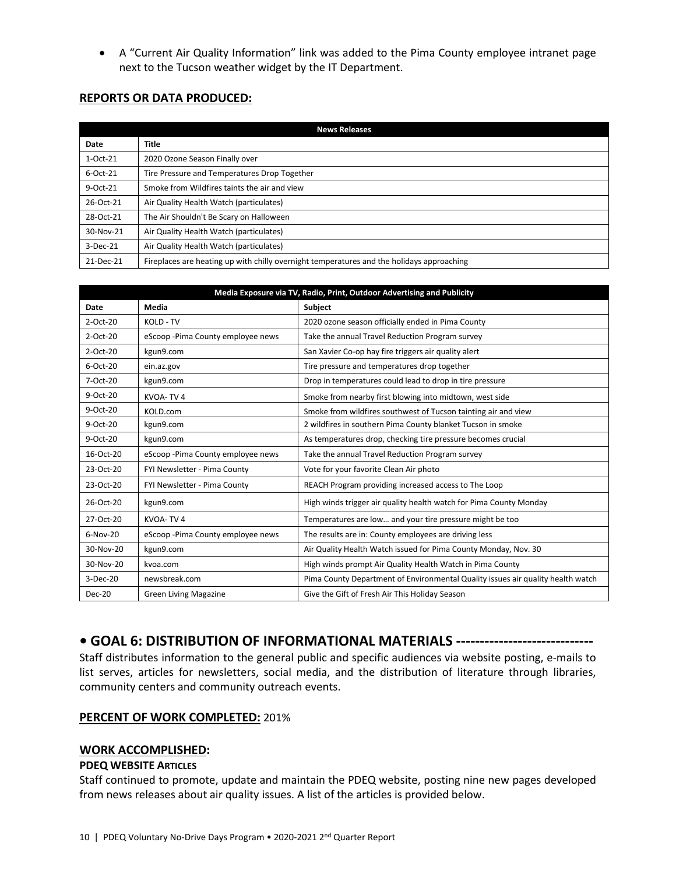• A "Current Air Quality Information" link was added to the Pima County employee intranet page next to the Tucson weather widget by the IT Department.

## **REPORTS OR DATA PRODUCED:**

| <b>News Releases</b> |                                                                                           |  |  |  |
|----------------------|-------------------------------------------------------------------------------------------|--|--|--|
| Date                 | <b>Title</b>                                                                              |  |  |  |
| $1-Oct-21$           | 2020 Ozone Season Finally over                                                            |  |  |  |
| 6-Oct-21             | Tire Pressure and Temperatures Drop Together                                              |  |  |  |
| $9-Oct-21$           | Smoke from Wildfires taints the air and view                                              |  |  |  |
| 26-Oct-21            | Air Quality Health Watch (particulates)                                                   |  |  |  |
| 28-Oct-21            | The Air Shouldn't Be Scary on Halloween                                                   |  |  |  |
| 30-Nov-21            | Air Quality Health Watch (particulates)                                                   |  |  |  |
| 3-Dec-21             | Air Quality Health Watch (particulates)                                                   |  |  |  |
| 21-Dec-21            | Fireplaces are heating up with chilly overnight temperatures and the holidays approaching |  |  |  |

| Media Exposure via TV, Radio, Print, Outdoor Advertising and Publicity |                                    |                                                                                 |  |  |  |
|------------------------------------------------------------------------|------------------------------------|---------------------------------------------------------------------------------|--|--|--|
| Date                                                                   | Media                              | Subject                                                                         |  |  |  |
| $2$ -Oct- $20$                                                         | KOLD - TV                          | 2020 ozone season officially ended in Pima County                               |  |  |  |
| 2-Oct-20                                                               | eScoop - Pima County employee news | Take the annual Travel Reduction Program survey                                 |  |  |  |
| 2-Oct-20                                                               | kgun9.com                          | San Xavier Co-op hay fire triggers air quality alert                            |  |  |  |
| 6-Oct-20                                                               | ein.az.gov                         | Tire pressure and temperatures drop together                                    |  |  |  |
| 7-Oct-20                                                               | kgun9.com                          | Drop in temperatures could lead to drop in tire pressure                        |  |  |  |
| $9-Oct-20$                                                             | KVOA-TV4                           | Smoke from nearby first blowing into midtown, west side                         |  |  |  |
| 9-Oct-20                                                               | KOLD.com                           | Smoke from wildfires southwest of Tucson tainting air and view                  |  |  |  |
| $9-Oct-20$                                                             | kgun9.com                          | 2 wildfires in southern Pima County blanket Tucson in smoke                     |  |  |  |
| 9-Oct-20                                                               | kgun9.com                          | As temperatures drop, checking tire pressure becomes crucial                    |  |  |  |
| 16-Oct-20                                                              | eScoop-Pima County employee news   | Take the annual Travel Reduction Program survey                                 |  |  |  |
| 23-Oct-20                                                              | FYI Newsletter - Pima County       | Vote for your favorite Clean Air photo                                          |  |  |  |
| 23-Oct-20                                                              | FYI Newsletter - Pima County       | REACH Program providing increased access to The Loop                            |  |  |  |
| 26-Oct-20                                                              | kgun9.com                          | High winds trigger air quality health watch for Pima County Monday              |  |  |  |
| 27-Oct-20                                                              | KVOA-TV4                           | Temperatures are low and your tire pressure might be too                        |  |  |  |
| $6-Nov-20$                                                             | eScoop-Pima County employee news   | The results are in: County employees are driving less                           |  |  |  |
| 30-Nov-20                                                              | kgun9.com                          | Air Quality Health Watch issued for Pima County Monday, Nov. 30                 |  |  |  |
| 30-Nov-20                                                              | kvoa.com                           | High winds prompt Air Quality Health Watch in Pima County                       |  |  |  |
| 3-Dec-20                                                               | newsbreak.com                      | Pima County Department of Environmental Quality issues air quality health watch |  |  |  |
| $Dec-20$                                                               | <b>Green Living Magazine</b>       | Give the Gift of Fresh Air This Holiday Season                                  |  |  |  |

# **• GOAL 6: DISTRIBUTION OF INFORMATIONAL MATERIALS -----------------------------**

Staff distributes information to the general public and specific audiences via website posting, e-mails to list serves, articles for newsletters, social media, and the distribution of literature through libraries, community centers and community outreach events.

### **PERCENT OF WORK COMPLETED:** 201%

### **WORK ACCOMPLISHED:**

### **PDEQ WEBSITE ARTICLES**

Staff continued to promote, update and maintain the PDEQ website, posting nine new pages developed from news releases about air quality issues. A list of the articles is provided below.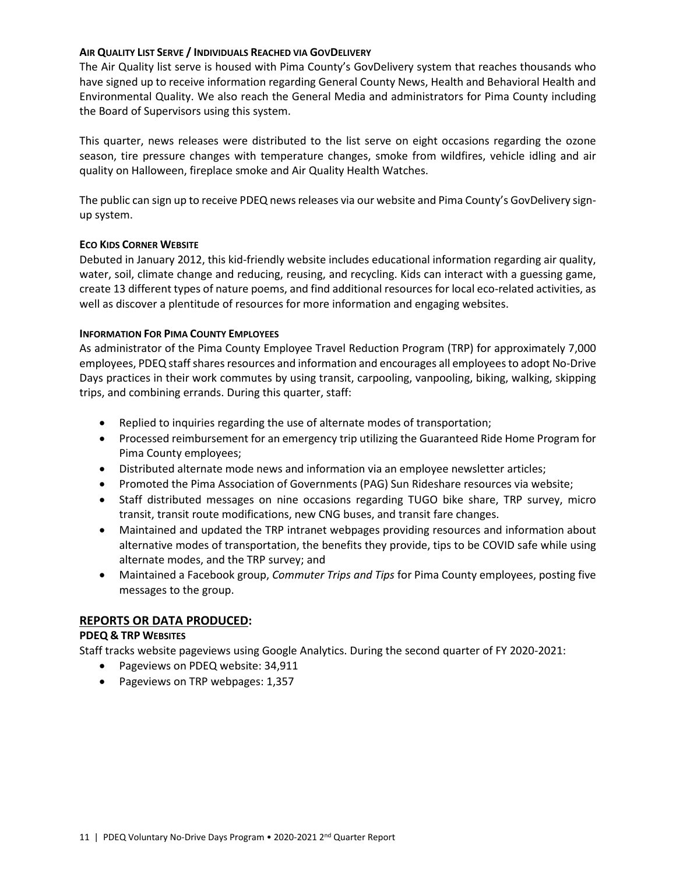### **AIR QUALITY LIST SERVE / INDIVIDUALS REACHED VIA GOVDELIVERY**

The Air Quality list serve is housed with Pima County's GovDelivery system that reaches thousands who have signed up to receive information regarding General County News, Health and Behavioral Health and Environmental Quality. We also reach the General Media and administrators for Pima County including the Board of Supervisors using this system.

This quarter, news releases were distributed to the list serve on eight occasions regarding the ozone season, tire pressure changes with temperature changes, smoke from wildfires, vehicle idling and air quality on Halloween, fireplace smoke and Air Quality Health Watches.

The public can sign up to receive PDEQ news releases via our website and Pima County's GovDelivery signup system.

### **ECO KIDS CORNER WEBSITE**

Debuted in January 2012, this kid-friendly website includes educational information regarding air quality, water, soil, climate change and reducing, reusing, and recycling. Kids can interact with a guessing game, create 13 different types of nature poems, and find additional resources for local eco-related activities, as well as discover a plentitude of resources for more information and engaging websites.

### **INFORMATION FOR PIMA COUNTY EMPLOYEES**

As administrator of the Pima County Employee Travel Reduction Program (TRP) for approximately 7,000 employees, PDEQ staffshares resources and information and encourages all employees to adopt No-Drive Days practices in their work commutes by using transit, carpooling, vanpooling, biking, walking, skipping trips, and combining errands. During this quarter, staff:

- Replied to inquiries regarding the use of alternate modes of transportation;
- Processed reimbursement for an emergency trip utilizing the Guaranteed Ride Home Program for Pima County employees;
- Distributed alternate mode news and information via an employee newsletter articles;
- Promoted the Pima Association of Governments (PAG) Sun Rideshare resources via website;
- Staff distributed messages on nine occasions regarding TUGO bike share, TRP survey, micro transit, transit route modifications, new CNG buses, and transit fare changes.
- Maintained and updated the TRP intranet webpages providing resources and information about alternative modes of transportation, the benefits they provide, tips to be COVID safe while using alternate modes, and the TRP survey; and
- Maintained a Facebook group, *Commuter Trips and Tips* for Pima County employees, posting five messages to the group.

### **REPORTS OR DATA PRODUCED:**

### **PDEQ & TRP WEBSITES**

Staff tracks website pageviews using Google Analytics. During the second quarter of FY 2020-2021:

- Pageviews on PDEQ website: 34,911
- Pageviews on TRP webpages: 1,357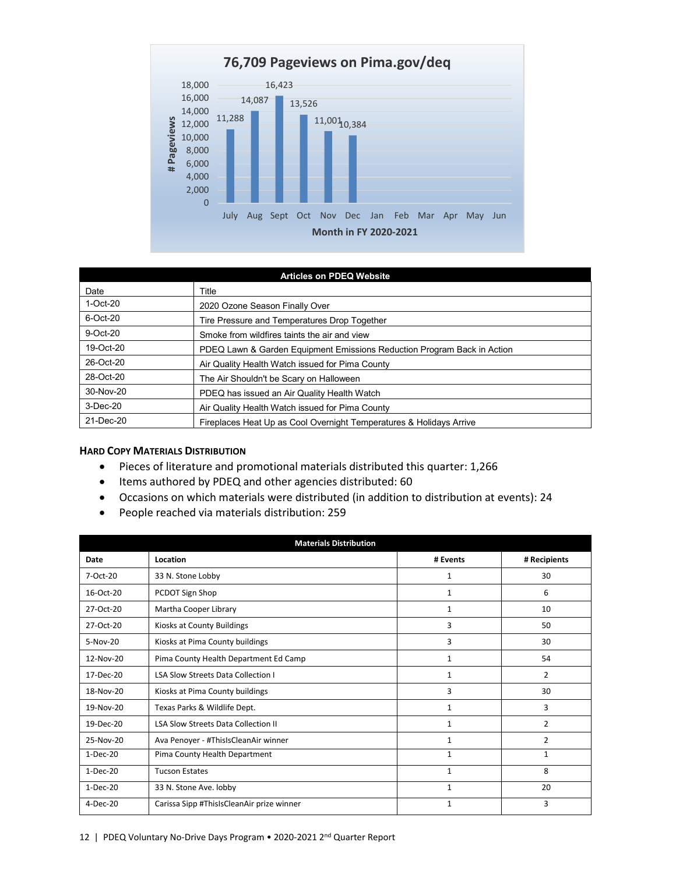

| <b>Articles on PDEQ Website</b> |                                                                         |  |  |  |
|---------------------------------|-------------------------------------------------------------------------|--|--|--|
| Date                            | Title                                                                   |  |  |  |
| $1-Oct-20$                      | 2020 Ozone Season Finally Over                                          |  |  |  |
| $6$ -Oct-20                     | Tire Pressure and Temperatures Drop Together                            |  |  |  |
| $9$ -Oct-20                     | Smoke from wildfires taints the air and view                            |  |  |  |
| 19-Oct-20                       | PDEQ Lawn & Garden Equipment Emissions Reduction Program Back in Action |  |  |  |
| 26-Oct-20                       | Air Quality Health Watch issued for Pima County                         |  |  |  |
| 28-Oct-20                       | The Air Shouldn't be Scary on Halloween                                 |  |  |  |
| 30-Nov-20                       | PDEQ has issued an Air Quality Health Watch                             |  |  |  |
| $3-Dec-20$                      | Air Quality Health Watch issued for Pima County                         |  |  |  |
| 21-Dec-20                       | Fireplaces Heat Up as Cool Overnight Temperatures & Holidays Arrive     |  |  |  |

#### **HARD COPY MATERIALS DISTRIBUTION**

- Pieces of literature and promotional materials distributed this quarter: 1,266
- Items authored by PDEQ and other agencies distributed: 60
- Occasions on which materials were distributed (in addition to distribution at events): 24
- People reached via materials distribution: 259

| <b>Materials Distribution</b> |                                            |              |              |  |  |
|-------------------------------|--------------------------------------------|--------------|--------------|--|--|
| Date                          | Location                                   | # Events     | # Recipients |  |  |
| 7-Oct-20                      | 33 N. Stone Lobby                          | 1            | 30           |  |  |
| 16-Oct-20                     | PCDOT Sign Shop                            | 1            | 6            |  |  |
| 27-Oct-20                     | Martha Cooper Library                      | 1            | 10           |  |  |
| 27-Oct-20                     | Kiosks at County Buildings                 | 3            | 50           |  |  |
| $5-Nov-20$                    | Kiosks at Pima County buildings            | 3            | 30           |  |  |
| 12-Nov-20                     | Pima County Health Department Ed Camp      | 1            | 54           |  |  |
| 17-Dec-20                     | <b>LSA Slow Streets Data Collection I</b>  | 1            | 2            |  |  |
| 18-Nov-20                     | Kiosks at Pima County buildings            | 3            | 30           |  |  |
| 19-Nov-20                     | Texas Parks & Wildlife Dept.               | 1            | 3            |  |  |
| 19-Dec-20                     | <b>LSA Slow Streets Data Collection II</b> | 1            | 2            |  |  |
| 25-Nov-20                     | Ava Penoyer - #ThisIsCleanAir winner       | 1            | 2            |  |  |
| $1-Dec-20$                    | Pima County Health Department              | $\mathbf{1}$ | 1            |  |  |
| 1-Dec-20                      | <b>Tucson Estates</b>                      | 1            | 8            |  |  |
| $1-Dec-20$                    | 33 N. Stone Ave. lobby                     | $\mathbf{1}$ | 20           |  |  |
| $4-Dec-20$                    | Carissa Sipp #ThisIsCleanAir prize winner  | 1            | 3            |  |  |

#### 12 | PDEQ Voluntary No-Drive Days Program • 2020-2021 2<sup>nd</sup> Quarter Report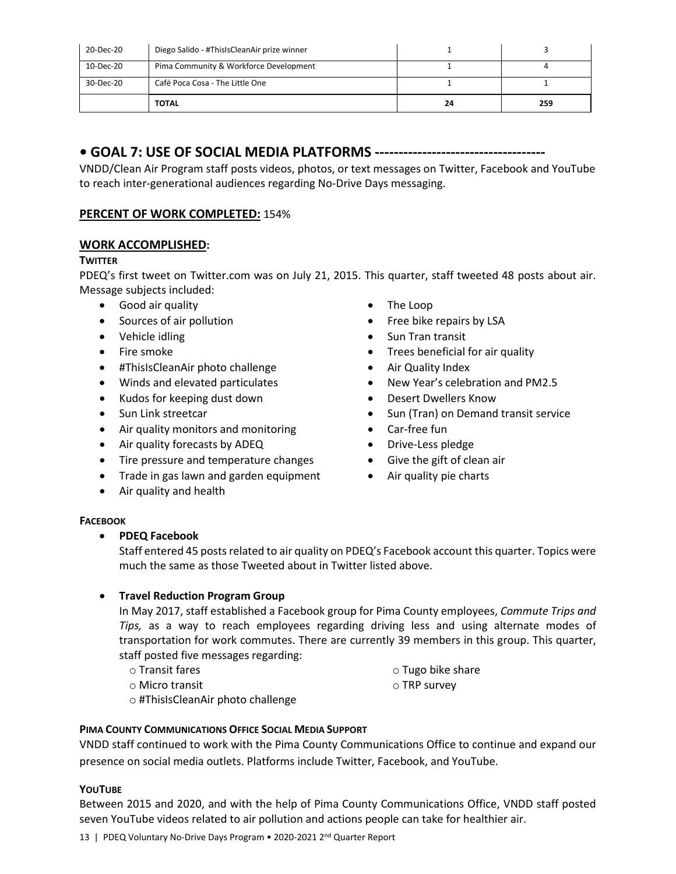| 20-Dec-20 | Diego Salido - #ThisIsCleanAir prize winner |    |     |
|-----------|---------------------------------------------|----|-----|
| 10-Dec-20 | Pima Community & Workforce Development      |    |     |
| 30-Dec-20 | Café Poca Cosa - The Little One             |    |     |
|           | <b>TOTAL</b>                                | 24 | 259 |

# **• GOAL 7: USE OF SOCIAL MEDIA PLATFORMS ------------------------------------**

VNDD/Clean Air Program staff posts videos, photos, or text messages on Twitter, Facebook and YouTube to reach inter-generational audiences regarding No-Drive Days messaging.

## **PERCENT OF WORK COMPLETED:** 154%

## **WORK ACCOMPLISHED:**

### **TWITTER**

PDEQ's first tweet on Twitter.com was on July 21, 2015. This quarter, staff tweeted 48 posts about air. Message subjects included:

- Good air quality
- Sources of air pollution
- Vehicle idling
- Fire smoke
- #ThisIsCleanAir photo challenge
- Winds and elevated particulates
- Kudos for keeping dust down
- Sun Link streetcar
- Air quality monitors and monitoring
- Air quality forecasts by ADEQ
- Tire pressure and temperature changes
- Trade in gas lawn and garden equipment
- Air quality and health
- The Loop
- Free bike repairs by LSA
- Sun Tran transit
- Trees beneficial for air quality
- Air Quality Index
- New Year's celebration and PM2.5
- Desert Dwellers Know
- Sun (Tran) on Demand transit service
- Car-free fun
- Drive-Less pledge
- Give the gift of clean air
	- Air quality pie charts

### **FACEBOOK**

### • **PDEQ Facebook**

Staff entered 45 posts related to air quality on PDEQ's Facebook account this quarter. Topics were much the same as those Tweeted about in Twitter listed above.

## • **Travel Reduction Program Group**

In May 2017, staff established a Facebook group for Pima County employees, *Commute Trips and Tips,* as a way to reach employees regarding driving less and using alternate modes of transportation for work commutes. There are currently 39 members in this group. This quarter, staff posted five messages regarding:

o Transit fares

o Tugo bike share

o Micro transit

- o TRP survey
- o #ThisIsCleanAir photo challenge

### **PIMA COUNTY COMMUNICATIONS OFFICE SOCIAL MEDIA SUPPORT**

VNDD staff continued to work with the Pima County Communications Office to continue and expand our presence on social media outlets. Platforms include Twitter, Facebook, and YouTube.

### **YOUTUBE**

Between 2015 and 2020, and with the help of Pima County Communications Office, VNDD staff posted seven YouTube videos related to air pollution and actions people can take for healthier air.

13 | PDEQ Voluntary No-Drive Days Program • 2020-2021 2<sup>nd</sup> Quarter Report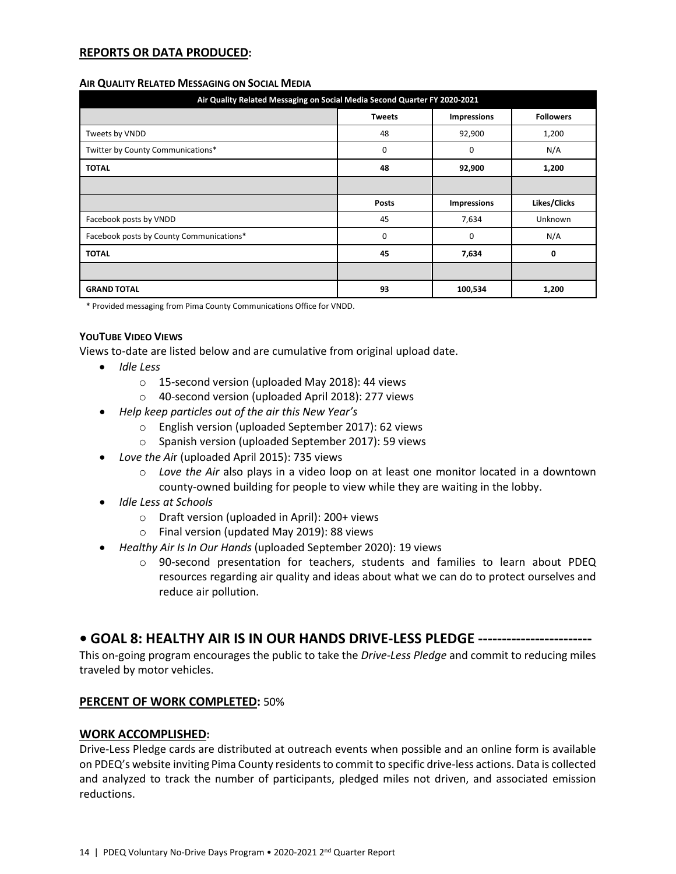### **REPORTS OR DATA PRODUCED:**

#### **AIR QUALITY RELATED MESSAGING ON SOCIAL MEDIA**

| Air Quality Related Messaging on Social Media Second Quarter FY 2020-2021 |               |                    |                  |  |  |
|---------------------------------------------------------------------------|---------------|--------------------|------------------|--|--|
|                                                                           | <b>Tweets</b> | <b>Impressions</b> | <b>Followers</b> |  |  |
| Tweets by VNDD                                                            | 48            | 92,900             | 1,200            |  |  |
| Twitter by County Communications*                                         | 0             | 0                  | N/A              |  |  |
| <b>TOTAL</b>                                                              | 48            | 92,900             | 1,200            |  |  |
|                                                                           |               |                    |                  |  |  |
|                                                                           | <b>Posts</b>  | <b>Impressions</b> | Likes/Clicks     |  |  |
| Facebook posts by VNDD                                                    | 45            | 7,634              | Unknown          |  |  |
| Facebook posts by County Communications*                                  | 0             | 0                  | N/A              |  |  |
| <b>TOTAL</b>                                                              | 45            | 7,634              | 0                |  |  |
|                                                                           |               |                    |                  |  |  |
| <b>GRAND TOTAL</b>                                                        | 93            | 100,534            | 1,200            |  |  |

\* Provided messaging from Pima County Communications Office for VNDD.

### **YOUTUBE VIDEO VIEWS**

Views to-date are listed below and are cumulative from original upload date.

- *Idle Less*
	- o 15-second version (uploaded May 2018): 44 views
	- o 40-second version (uploaded April 2018): 277 views
- *Help keep particles out of the air this New Year's*
	- o English version (uploaded September 2017): 62 views
	- o Spanish version (uploaded September 2017): 59 views
- *Love the Ai*r (uploaded April 2015): 735 views
	- o *Love the Air* also plays in a video loop on at least one monitor located in a downtown county-owned building for people to view while they are waiting in the lobby.
- *Idle Less at Schools*
	- o Draft version (uploaded in April): 200+ views
	- o Final version (updated May 2019): 88 views
- *Healthy Air Is In Our Hands* (uploaded September 2020): 19 views
	- o 90-second presentation for teachers, students and families to learn about PDEQ resources regarding air quality and ideas about what we can do to protect ourselves and reduce air pollution.

## **• GOAL 8: HEALTHY AIR IS IN OUR HANDS DRIVE-LESS PLEDGE ------------------------**

This on-going program encourages the public to take the *Drive-Less Pledge* and commit to reducing miles traveled by motor vehicles.

### **PERCENT OF WORK COMPLETED:** 50%

### **WORK ACCOMPLISHED:**

Drive-Less Pledge cards are distributed at outreach events when possible and an online form is available on PDEQ's website inviting Pima County residents to commit to specific drive-less actions. Data is collected and analyzed to track the number of participants, pledged miles not driven, and associated emission reductions.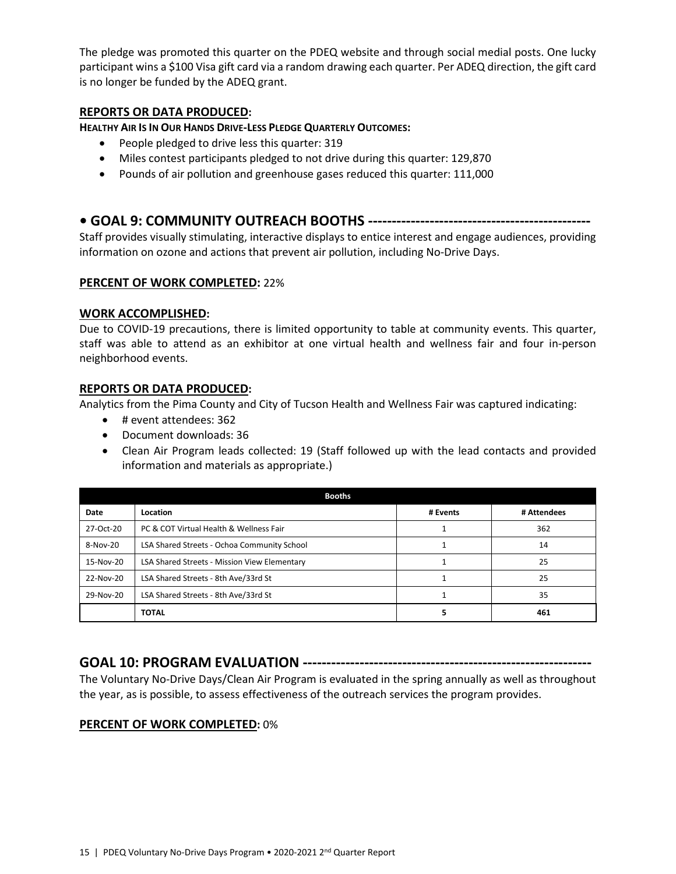The pledge was promoted this quarter on the PDEQ website and through social medial posts. One lucky participant wins a \$100 Visa gift card via a random drawing each quarter. Per ADEQ direction, the gift card is no longer be funded by the ADEQ grant.

## **REPORTS OR DATA PRODUCED:**

**HEALTHY AIR IS IN OUR HANDS DRIVE-LESS PLEDGE QUARTERLY OUTCOMES:**

- People pledged to drive less this quarter: 319
- Miles contest participants pledged to not drive during this quarter: 129,870
- Pounds of air pollution and greenhouse gases reduced this quarter: 111,000

## **• GOAL 9: COMMUNITY OUTREACH BOOTHS -----------------------------------------------**

Staff provides visually stimulating, interactive displays to entice interest and engage audiences, providing information on ozone and actions that prevent air pollution, including No-Drive Days.

### **PERCENT OF WORK COMPLETED:** 22%

### **WORK ACCOMPLISHED:**

Due to COVID-19 precautions, there is limited opportunity to table at community events. This quarter, staff was able to attend as an exhibitor at one virtual health and wellness fair and four in-person neighborhood events.

### **REPORTS OR DATA PRODUCED:**

Analytics from the Pima County and City of Tucson Health and Wellness Fair was captured indicating:

- # event attendees: 362
- Document downloads: 36
- Clean Air Program leads collected: 19 (Staff followed up with the lead contacts and provided information and materials as appropriate.)

| <b>Booths</b> |                                              |          |             |  |  |
|---------------|----------------------------------------------|----------|-------------|--|--|
| Date          | Location                                     | # Events | # Attendees |  |  |
| 27-Oct-20     | PC & COT Virtual Health & Wellness Fair      |          | 362         |  |  |
| 8-Nov-20      | LSA Shared Streets - Ochoa Community School  |          | 14          |  |  |
| 15-Nov-20     | LSA Shared Streets - Mission View Elementary |          | 25          |  |  |
| 22-Nov-20     | LSA Shared Streets - 8th Ave/33rd St         |          | 25          |  |  |
| 29-Nov-20     | LSA Shared Streets - 8th Ave/33rd St         |          | 35          |  |  |
|               | <b>TOTAL</b>                                 |          | 461         |  |  |

## **GOAL 10: PROGRAM EVALUATION -------------------------------------------------------------**

The Voluntary No-Drive Days/Clean Air Program is evaluated in the spring annually as well as throughout the year, as is possible, to assess effectiveness of the outreach services the program provides.

### **PERCENT OF WORK COMPLETED:** 0%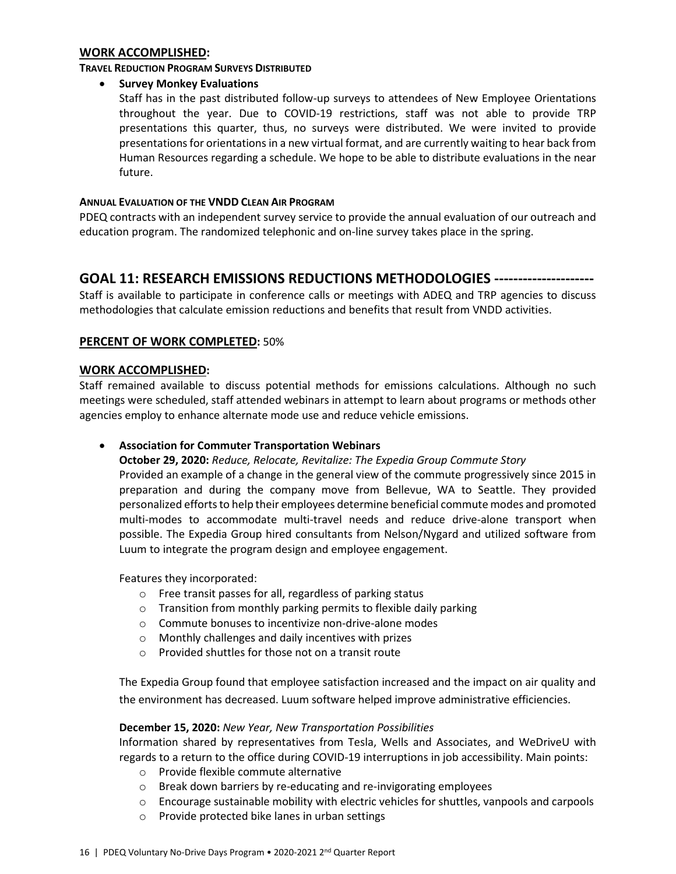#### **WORK ACCOMPLISHED:**

#### **TRAVEL REDUCTION PROGRAM SURVEYS DISTRIBUTED**

### • **Survey Monkey Evaluations**

Staff has in the past distributed follow-up surveys to attendees of New Employee Orientations throughout the year. Due to COVID-19 restrictions, staff was not able to provide TRP presentations this quarter, thus, no surveys were distributed. We were invited to provide presentations for orientations in a new virtual format, and are currently waiting to hear back from Human Resources regarding a schedule. We hope to be able to distribute evaluations in the near future.

### **ANNUAL EVALUATION OF THE VNDD CLEAN AIR PROGRAM**

PDEQ contracts with an independent survey service to provide the annual evaluation of our outreach and education program. The randomized telephonic and on-line survey takes place in the spring.

## **GOAL 11: RESEARCH EMISSIONS REDUCTIONS METHODOLOGIES ---------------------**

Staff is available to participate in conference calls or meetings with ADEQ and TRP agencies to discuss methodologies that calculate emission reductions and benefits that result from VNDD activities.

### **PERCENT OF WORK COMPLETED:** 50%

## **WORK ACCOMPLISHED:**

Staff remained available to discuss potential methods for emissions calculations. Although no such meetings were scheduled, staff attended webinars in attempt to learn about programs or methods other agencies employ to enhance alternate mode use and reduce vehicle emissions.

### • **Association for Commuter Transportation Webinars**

**October 29, 2020:** *Reduce, Relocate, Revitalize: The Expedia Group Commute Story* Provided an example of a change in the general view of the commute progressively since 2015 in preparation and during the company move from Bellevue, WA to Seattle. They provided personalized efforts to help their employees determine beneficial commute modes and promoted multi-modes to accommodate multi-travel needs and reduce drive-alone transport when possible. The Expedia Group hired consultants from Nelson/Nygard and utilized software from Luum to integrate the program design and employee engagement.

Features they incorporated:

- o Free transit passes for all, regardless of parking status
- o Transition from monthly parking permits to flexible daily parking
- o Commute bonuses to incentivize non-drive-alone modes
- o Monthly challenges and daily incentives with prizes
- $\circ$  Provided shuttles for those not on a transit route

The Expedia Group found that employee satisfaction increased and the impact on air quality and the environment has decreased. Luum software helped improve administrative efficiencies.

#### **December 15, 2020:** *New Year, New Transportation Possibilities*

Information shared by representatives from Tesla, Wells and Associates, and WeDriveU with regards to a return to the office during COVID-19 interruptions in job accessibility. Main points:

- o Provide flexible commute alternative
- o Break down barriers by re-educating and re-invigorating employees
- o Encourage sustainable mobility with electric vehicles for shuttles, vanpools and carpools
- o Provide protected bike lanes in urban settings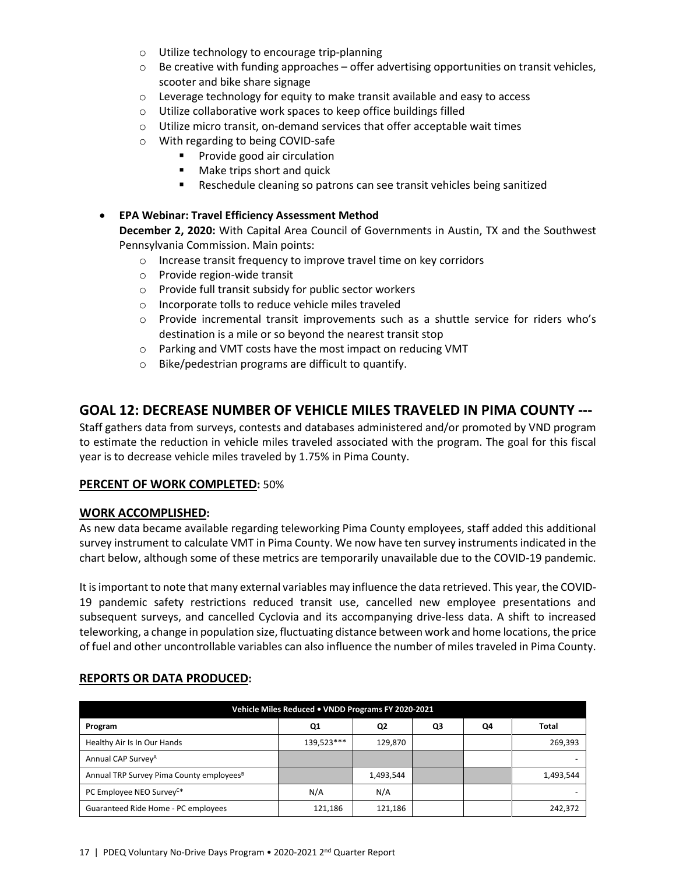- o Utilize technology to encourage trip-planning
- $\circ$  Be creative with funding approaches offer advertising opportunities on transit vehicles, scooter and bike share signage
- o Leverage technology for equity to make transit available and easy to access
- o Utilize collaborative work spaces to keep office buildings filled
- o Utilize micro transit, on-demand services that offer acceptable wait times
- o With regarding to being COVID-safe
	- **Provide good air circulation**
	- Make trips short and quick
	- Reschedule cleaning so patrons can see transit vehicles being sanitized

## • **EPA Webinar: Travel Efficiency Assessment Method**

**December 2, 2020:** With Capital Area Council of Governments in Austin, TX and the Southwest Pennsylvania Commission. Main points:

- o Increase transit frequency to improve travel time on key corridors
- o Provide region-wide transit
- o Provide full transit subsidy for public sector workers
- o Incorporate tolls to reduce vehicle miles traveled
- o Provide incremental transit improvements such as a shuttle service for riders who's destination is a mile or so beyond the nearest transit stop
- o Parking and VMT costs have the most impact on reducing VMT
- o Bike/pedestrian programs are difficult to quantify.

# **GOAL 12: DECREASE NUMBER OF VEHICLE MILES TRAVELED IN PIMA COUNTY ---**

Staff gathers data from surveys, contests and databases administered and/or promoted by VND program to estimate the reduction in vehicle miles traveled associated with the program. The goal for this fiscal year is to decrease vehicle miles traveled by 1.75% in Pima County.

### **PERCENT OF WORK COMPLETED:** 50%

## **WORK ACCOMPLISHED:**

As new data became available regarding teleworking Pima County employees, staff added this additional survey instrument to calculate VMT in Pima County. We now have ten survey instruments indicated in the chart below, although some of these metrics are temporarily unavailable due to the COVID-19 pandemic.

It is important to note that many external variables may influence the data retrieved. This year, the COVID-19 pandemic safety restrictions reduced transit use, cancelled new employee presentations and subsequent surveys, and cancelled Cyclovia and its accompanying drive-less data. A shift to increased teleworking, a change in population size, fluctuating distance between work and home locations, the price of fuel and other uncontrollable variables can also influence the number of miles traveled in Pima County.

| Vehicle Miles Reduced . VNDD Programs FY 2020-2021   |            |                |    |    |           |
|------------------------------------------------------|------------|----------------|----|----|-----------|
| Program                                              | Q1         | Q <sub>2</sub> | Q3 | Q4 | Total     |
| Healthy Air Is In Our Hands                          | 139.523*** | 129,870        |    |    | 269,393   |
| Annual CAP Survey <sup>A</sup>                       |            |                |    |    |           |
| Annual TRP Survey Pima County employees <sup>8</sup> |            | 1,493,544      |    |    | 1,493,544 |
| PC Employee NEO Survey <sup>C*</sup>                 | N/A        | N/A            |    |    |           |
| Guaranteed Ride Home - PC employees                  | 121,186    | 121,186        |    |    | 242,372   |

## **REPORTS OR DATA PRODUCED:**